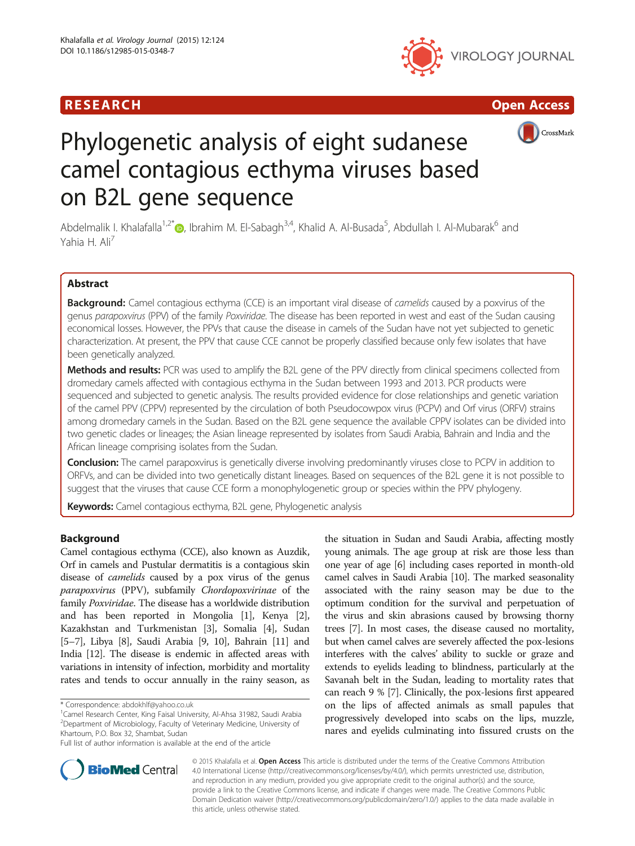





# Phylogenetic analysis of eight sudanese camel contagious ecthyma viruses based on B2L gene sequence

Abdelmalik I. Khalafalla<sup>1[,](http://orcid.org/0000-0001-9156-1361)2\*</sup> (@, Ibrahim M. El-Sabagh<sup>3,4</sup>, Khalid A. Al-Busada<sup>5</sup>, Abdullah I. Al-Mubarak<sup>6</sup> and Yahia H. Ali<sup>7</sup>

# Abstract

Background: Camel contagious ecthyma (CCE) is an important viral disease of camelids caused by a poxvirus of the genus parapoxvirus (PPV) of the family Poxviridae. The disease has been reported in west and east of the Sudan causing economical losses. However, the PPVs that cause the disease in camels of the Sudan have not yet subjected to genetic characterization. At present, the PPV that cause CCE cannot be properly classified because only few isolates that have been genetically analyzed.

Methods and results: PCR was used to amplify the B2L gene of the PPV directly from clinical specimens collected from dromedary camels affected with contagious ecthyma in the Sudan between 1993 and 2013. PCR products were sequenced and subjected to genetic analysis. The results provided evidence for close relationships and genetic variation of the camel PPV (CPPV) represented by the circulation of both Pseudocowpox virus (PCPV) and Orf virus (ORFV) strains among dromedary camels in the Sudan. Based on the B2L gene sequence the available CPPV isolates can be divided into two genetic clades or lineages; the Asian lineage represented by isolates from Saudi Arabia, Bahrain and India and the African lineage comprising isolates from the Sudan.

Conclusion: The camel parapoxvirus is genetically diverse involving predominantly viruses close to PCPV in addition to ORFVs, and can be divided into two genetically distant lineages. Based on sequences of the B2L gene it is not possible to suggest that the viruses that cause CCE form a monophylogenetic group or species within the PPV phylogeny.

Keywords: Camel contagious ecthyma, B2L gene, Phylogenetic analysis

# Background

Camel contagious ecthyma (CCE), also known as Auzdik, Orf in camels and Pustular dermatitis is a contagious skin disease of camelids caused by a pox virus of the genus parapoxvirus (PPV), subfamily Chordopoxvirinae of the family Poxviridae. The disease has a worldwide distribution and has been reported in Mongolia [\[1\]](#page-7-0), Kenya [[2](#page-7-0)], Kazakhstan and Turkmenistan [[3\]](#page-7-0), Somalia [\[4\]](#page-7-0), Sudan [[5](#page-7-0)–[7](#page-7-0)], Libya [\[8\]](#page-7-0), Saudi Arabia [\[9, 10](#page-7-0)], Bahrain [\[11\]](#page-7-0) and India [\[12\]](#page-7-0). The disease is endemic in affected areas with variations in intensity of infection, morbidity and mortality rates and tends to occur annually in the rainy season, as

<sup>1</sup>Camel Research Center, King Faisal University, Al-Ahsa 31982, Saudi Arabia 2 Department of Microbiology, Faculty of Veterinary Medicine, University of Khartoum, P.O. Box 32, Shambat, Sudan

the situation in Sudan and Saudi Arabia, affecting mostly young animals. The age group at risk are those less than one year of age [[6\]](#page-7-0) including cases reported in month-old camel calves in Saudi Arabia [\[10\]](#page-7-0). The marked seasonality associated with the rainy season may be due to the optimum condition for the survival and perpetuation of the virus and skin abrasions caused by browsing thorny trees [[7](#page-7-0)]. In most cases, the disease caused no mortality, but when camel calves are severely affected the pox-lesions interferes with the calves' ability to suckle or graze and extends to eyelids leading to blindness, particularly at the Savanah belt in the Sudan, leading to mortality rates that can reach 9 % [[7](#page-7-0)]. Clinically, the pox-lesions first appeared on the lips of affected animals as small papules that progressively developed into scabs on the lips, muzzle, nares and eyelids culminating into fissured crusts on the



© 2015 Khalafalla et al. Open Access This article is distributed under the terms of the Creative Commons Attribution 4.0 International License [\(http://creativecommons.org/licenses/by/4.0/\)](http://creativecommons.org/licenses/by/4.0/), which permits unrestricted use, distribution, and reproduction in any medium, provided you give appropriate credit to the original author(s) and the source, provide a link to the Creative Commons license, and indicate if changes were made. The Creative Commons Public Domain Dedication waiver ([http://creativecommons.org/publicdomain/zero/1.0/\)](http://creativecommons.org/publicdomain/zero/1.0/) applies to the data made available in this article, unless otherwise stated.

<sup>\*</sup> Correspondence: [abdokhlf@yahoo.co.uk](mailto:abdokhlf@yahoo.co.uk) <sup>1</sup>

Full list of author information is available at the end of the article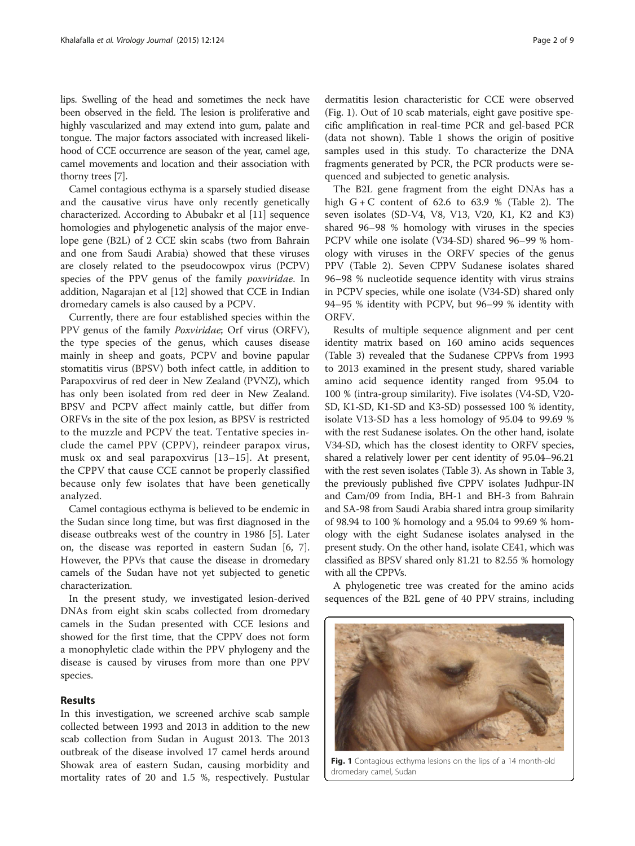lips. Swelling of the head and sometimes the neck have been observed in the field. The lesion is proliferative and highly vascularized and may extend into gum, palate and tongue. The major factors associated with increased likelihood of CCE occurrence are season of the year, camel age, camel movements and location and their association with thorny trees [\[7\]](#page-7-0).

Camel contagious ecthyma is a sparsely studied disease and the causative virus have only recently genetically characterized. According to Abubakr et al [[11\]](#page-7-0) sequence homologies and phylogenetic analysis of the major envelope gene (B2L) of 2 CCE skin scabs (two from Bahrain and one from Saudi Arabia) showed that these viruses are closely related to the pseudocowpox virus (PCPV) species of the PPV genus of the family poxviridae. In addition, Nagarajan et al [\[12\]](#page-7-0) showed that CCE in Indian dromedary camels is also caused by a PCPV.

Currently, there are four established species within the PPV genus of the family Poxviridae; Orf virus (ORFV), the type species of the genus, which causes disease mainly in sheep and goats, PCPV and bovine papular stomatitis virus (BPSV) both infect cattle, in addition to Parapoxvirus of red deer in New Zealand (PVNZ), which has only been isolated from red deer in New Zealand. BPSV and PCPV affect mainly cattle, but differ from ORFVs in the site of the pox lesion, as BPSV is restricted to the muzzle and PCPV the teat. Tentative species include the camel PPV (CPPV), reindeer parapox virus, musk ox and seal parapoxvirus [\[13](#page-7-0)–[15\]](#page-7-0). At present, the CPPV that cause CCE cannot be properly classified because only few isolates that have been genetically analyzed.

Camel contagious ecthyma is believed to be endemic in the Sudan since long time, but was first diagnosed in the disease outbreaks west of the country in 1986 [\[5](#page-7-0)]. Later on, the disease was reported in eastern Sudan [\[6, 7](#page-7-0)]. However, the PPVs that cause the disease in dromedary camels of the Sudan have not yet subjected to genetic characterization.

In the present study, we investigated lesion-derived DNAs from eight skin scabs collected from dromedary camels in the Sudan presented with CCE lesions and showed for the first time, that the CPPV does not form a monophyletic clade within the PPV phylogeny and the disease is caused by viruses from more than one PPV species.

# Results

In this investigation, we screened archive scab sample collected between 1993 and 2013 in addition to the new scab collection from Sudan in August 2013. The 2013 outbreak of the disease involved 17 camel herds around Showak area of eastern Sudan, causing morbidity and mortality rates of 20 and 1.5 %, respectively. Pustular

dermatitis lesion characteristic for CCE were observed (Fig. 1). Out of 10 scab materials, eight gave positive specific amplification in real-time PCR and gel-based PCR (data not shown). Table [1](#page-2-0) shows the origin of positive samples used in this study. To characterize the DNA fragments generated by PCR, the PCR products were sequenced and subjected to genetic analysis.

The B2L gene fragment from the eight DNAs has a high  $G + C$  content of 62.6 to 63.9 % (Table [2\)](#page-2-0). The seven isolates (SD-V4, V8, V13, V20, K1, K2 and K3) shared 96–98 % homology with viruses in the species PCPV while one isolate (V34-SD) shared 96–99 % homology with viruses in the ORFV species of the genus PPV (Table [2\)](#page-2-0). Seven CPPV Sudanese isolates shared 96–98 % nucleotide sequence identity with virus strains in PCPV species, while one isolate (V34-SD) shared only 94–95 % identity with PCPV, but 96–99 % identity with ORFV.

Results of multiple sequence alignment and per cent identity matrix based on 160 amino acids sequences (Table [3](#page-3-0)) revealed that the Sudanese CPPVs from 1993 to 2013 examined in the present study, shared variable amino acid sequence identity ranged from 95.04 to 100 % (intra-group similarity). Five isolates (V4-SD, V20- SD, K1-SD, K1-SD and K3-SD) possessed 100 % identity, isolate V13-SD has a less homology of 95.04 to 99.69 % with the rest Sudanese isolates. On the other hand, isolate V34-SD, which has the closest identity to ORFV species, shared a relatively lower per cent identity of 95.04–96.21 with the rest seven isolates (Table [3\)](#page-3-0). As shown in Table [3](#page-3-0), the previously published five CPPV isolates Judhpur-IN and Cam/09 from India, BH-1 and BH-3 from Bahrain and SA-98 from Saudi Arabia shared intra group similarity of 98.94 to 100 % homology and a 95.04 to 99.69 % homology with the eight Sudanese isolates analysed in the present study. On the other hand, isolate CE41, which was classified as BPSV shared only 81.21 to 82.55 % homology with all the CPPVs.

A phylogenetic tree was created for the amino acids sequences of the B2L gene of 40 PPV strains, including



Fig. 1 Contagious ecthyma lesions on the lips of a 14 month-old dromedary camel, Sudan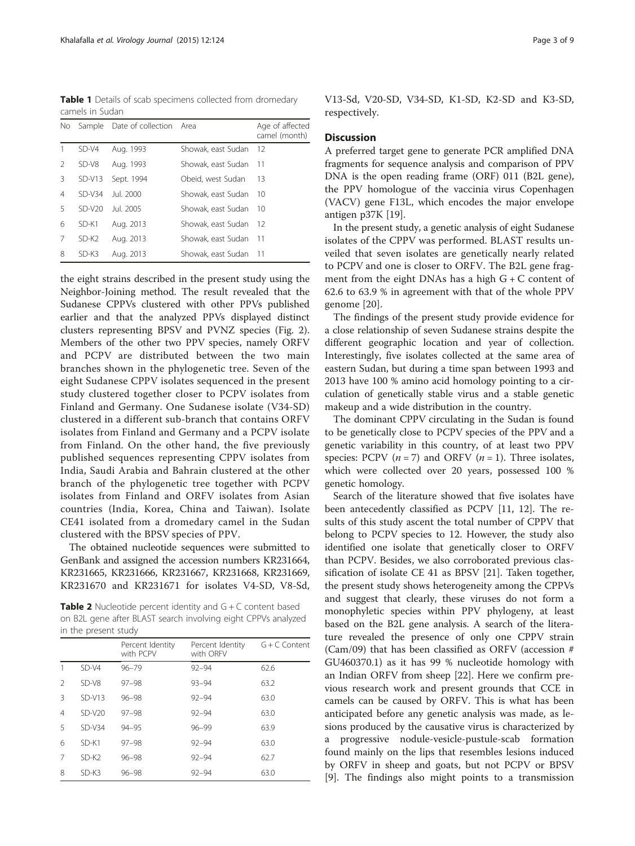<span id="page-2-0"></span>Table 1 Details of scab specimens collected from dromedary camels in Sudan

| No.           | Sample   | Date of collection Area |                    | Age of affected<br>camel (month) |
|---------------|----------|-------------------------|--------------------|----------------------------------|
|               | $SD-V4$  | Aug. 1993               | Showak, east Sudan | - 12                             |
| $\mathcal{P}$ | $SD-V8$  | Aug. 1993               | Showak, east Sudan | -11                              |
| 3             | $SD-V13$ | Sept. 1994              | Obeid, west Sudan  | -13                              |
| 4             | $SD-V34$ | Jul. 2000               | Showak, east Sudan | -10                              |
| 5             | $SD-V20$ | Jul. 2005               | Showak, east Sudan | -10                              |
| 6             | $SD-K1$  | Aug. 2013               | Showak, east Sudan | -12                              |
| 7             | $SD-K2$  | Aug. 2013               | Showak, east Sudan | -11                              |
| 8             | SD-K3    | Aug. 2013               | Showak, east Sudan | - 11                             |

the eight strains described in the present study using the Neighbor-Joining method. The result revealed that the Sudanese CPPVs clustered with other PPVs published earlier and that the analyzed PPVs displayed distinct clusters representing BPSV and PVNZ species (Fig. [2](#page-5-0)). Members of the other two PPV species, namely ORFV and PCPV are distributed between the two main branches shown in the phylogenetic tree. Seven of the eight Sudanese CPPV isolates sequenced in the present study clustered together closer to PCPV isolates from Finland and Germany. One Sudanese isolate (V34-SD) clustered in a different sub-branch that contains ORFV isolates from Finland and Germany and a PCPV isolate from Finland. On the other hand, the five previously published sequences representing CPPV isolates from India, Saudi Arabia and Bahrain clustered at the other branch of the phylogenetic tree together with PCPV isolates from Finland and ORFV isolates from Asian countries (India, Korea, China and Taiwan). Isolate CE41 isolated from a dromedary camel in the Sudan clustered with the BPSV species of PPV.

The obtained nucleotide sequences were submitted to GenBank and assigned the accession numbers KR231664, KR231665, KR231666, KR231667, KR231668, KR231669, KR231670 and KR231671 for isolates V4-SD, V8-Sd,

**Table 2** Nucleotide percent identity and  $G + C$  content based on B2L gene after BLAST search involving eight CPPVs analyzed in the present study

|               |          | Percent Identity<br>with PCPV | Percent Identity<br>with ORFV | $G + C$ Content |
|---------------|----------|-------------------------------|-------------------------------|-----------------|
|               | $SD-V4$  | $96 - 79$                     | $92 - 94$                     | 62.6            |
| $\mathcal{P}$ | $SD-V8$  | $97 - 98$                     | $93 - 94$                     | 63.2            |
| Β             | $SD-VI3$ | $96 - 98$                     | $92 - 94$                     | 63.0            |
| 4             | $SD-V20$ | $97 - 98$                     | $92 - 94$                     | 63.0            |
| 5             | $SD-V34$ | 94-95                         | $96 - 99$                     | 63.9            |
| 6             | $SD-K1$  | $97 - 98$                     | $92 - 94$                     | 63.0            |
| 7             | $SD-K2$  | $96 - 98$                     | $92 - 94$                     | 62.7            |
| 8             | $SD-K3$  | $96 - 98$                     | $92 - 94$                     | 63.0            |

V13-Sd, V20-SD, V34-SD, K1-SD, K2-SD and K3-SD, respectively.

# **Discussion**

A preferred target gene to generate PCR amplified DNA fragments for sequence analysis and comparison of PPV DNA is the open reading frame (ORF) 011 (B2L gene), the PPV homologue of the vaccinia virus Copenhagen (VACV) gene F13L, which encodes the major envelope antigen p37K [\[19](#page-7-0)].

In the present study, a genetic analysis of eight Sudanese isolates of the CPPV was performed. BLAST results unveiled that seven isolates are genetically nearly related to PCPV and one is closer to ORFV. The B2L gene fragment from the eight DNAs has a high  $G + C$  content of 62.6 to 63.9 % in agreement with that of the whole PPV genome [\[20](#page-7-0)].

The findings of the present study provide evidence for a close relationship of seven Sudanese strains despite the different geographic location and year of collection. Interestingly, five isolates collected at the same area of eastern Sudan, but during a time span between 1993 and 2013 have 100 % amino acid homology pointing to a circulation of genetically stable virus and a stable genetic makeup and a wide distribution in the country.

The dominant CPPV circulating in the Sudan is found to be genetically close to PCPV species of the PPV and a genetic variability in this country, of at least two PPV species: PCPV  $(n = 7)$  and ORFV  $(n = 1)$ . Three isolates, which were collected over 20 years, possessed 100 % genetic homology.

Search of the literature showed that five isolates have been antecedently classified as PCPV [\[11](#page-7-0), [12\]](#page-7-0). The results of this study ascent the total number of CPPV that belong to PCPV species to 12. However, the study also identified one isolate that genetically closer to ORFV than PCPV. Besides, we also corroborated previous classification of isolate CE 41 as BPSV [\[21](#page-7-0)]. Taken together, the present study shows heterogeneity among the CPPVs and suggest that clearly, these viruses do not form a monophyletic species within PPV phylogeny, at least based on the B2L gene analysis. A search of the literature revealed the presence of only one CPPV strain (Cam/09) that has been classified as ORFV (accession # GU460370.1) as it has 99 % nucleotide homology with an Indian ORFV from sheep [\[22](#page-7-0)]. Here we confirm previous research work and present grounds that CCE in camels can be caused by ORFV. This is what has been anticipated before any genetic analysis was made, as lesions produced by the causative virus is characterized by a progressive nodule-vesicle-pustule-scab formation found mainly on the lips that resembles lesions induced by ORFV in sheep and goats, but not PCPV or BPSV [[9\]](#page-7-0). The findings also might points to a transmission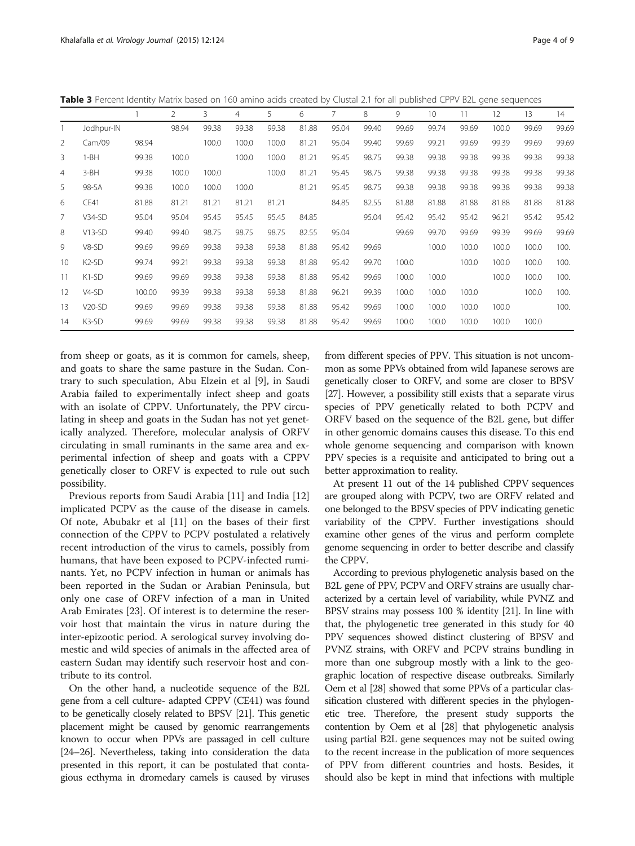<span id="page-3-0"></span>Table 3 Percent Identity Matrix based on 160 amino acids created by Clustal 2.1 for all published CPPV B2L gene sequences

|                |                    |        | 2     | 3     | 4     | 5     | 6     |       | 8     | 9     | 10    | 11    | 12    | 13    | 14    |
|----------------|--------------------|--------|-------|-------|-------|-------|-------|-------|-------|-------|-------|-------|-------|-------|-------|
|                | Jodhpur-IN         |        | 98.94 | 99.38 | 99.38 | 99.38 | 81.88 | 95.04 | 99.40 | 99.69 | 99.74 | 99.69 | 100.0 | 99.69 | 99.69 |
| 2              | Cam/09             | 98.94  |       | 100.0 | 100.0 | 100.0 | 81.21 | 95.04 | 99.40 | 99.69 | 99.21 | 99.69 | 99.39 | 99.69 | 99.69 |
| 3              | $1-BH$             | 99.38  | 100.0 |       | 100.0 | 100.0 | 81.21 | 95.45 | 98.75 | 99.38 | 99.38 | 99.38 | 99.38 | 99.38 | 99.38 |
| $\overline{4}$ | $3-BH$             | 99.38  | 100.0 | 100.0 |       | 100.0 | 81.21 | 95.45 | 98.75 | 99.38 | 99.38 | 99.38 | 99.38 | 99.38 | 99.38 |
| 5              | 98-SA              | 99.38  | 100.0 | 100.0 | 100.0 |       | 81.21 | 95.45 | 98.75 | 99.38 | 99.38 | 99.38 | 99.38 | 99.38 | 99.38 |
| 6              | CE41               | 81.88  | 81.21 | 81.21 | 81.21 | 81.21 |       | 84.85 | 82.55 | 81.88 | 81.88 | 81.88 | 81.88 | 81.88 | 81.88 |
| $\overline{7}$ | $V34-SD$           | 95.04  | 95.04 | 95.45 | 95.45 | 95.45 | 84.85 |       | 95.04 | 95.42 | 95.42 | 95.42 | 96.21 | 95.42 | 95.42 |
| 8              | $V13-SD$           | 99.40  | 99.40 | 98.75 | 98.75 | 98.75 | 82.55 | 95.04 |       | 99.69 | 99.70 | 99.69 | 99.39 | 99.69 | 99.69 |
| 9              | $V8-SD$            | 99.69  | 99.69 | 99.38 | 99.38 | 99.38 | 81.88 | 95.42 | 99.69 |       | 100.0 | 100.0 | 100.0 | 100.0 | 100.  |
| 10             | K <sub>2</sub> -SD | 99.74  | 99.21 | 99.38 | 99.38 | 99.38 | 81.88 | 95.42 | 99.70 | 100.0 |       | 100.0 | 100.0 | 100.0 | 100.  |
| 11             | K1-SD              | 99.69  | 99.69 | 99.38 | 99.38 | 99.38 | 81.88 | 95.42 | 99.69 | 100.0 | 100.0 |       | 100.0 | 100.0 | 100.  |
| 12             | $V4-SD$            | 100.00 | 99.39 | 99.38 | 99.38 | 99.38 | 81.88 | 96.21 | 99.39 | 100.0 | 100.0 | 100.0 |       | 100.0 | 100.  |
| 13             | $V20-SD$           | 99.69  | 99.69 | 99.38 | 99.38 | 99.38 | 81.88 | 95.42 | 99.69 | 100.0 | 100.0 | 100.0 | 100.0 |       | 100.  |
| 14             | K3-SD              | 99.69  | 99.69 | 99.38 | 99.38 | 99.38 | 81.88 | 95.42 | 99.69 | 100.0 | 100.0 | 100.0 | 100.0 | 100.0 |       |

from sheep or goats, as it is common for camels, sheep, and goats to share the same pasture in the Sudan. Contrary to such speculation, Abu Elzein et al [\[9](#page-7-0)], in Saudi Arabia failed to experimentally infect sheep and goats with an isolate of CPPV. Unfortunately, the PPV circulating in sheep and goats in the Sudan has not yet genetically analyzed. Therefore, molecular analysis of ORFV circulating in small ruminants in the same area and experimental infection of sheep and goats with a CPPV genetically closer to ORFV is expected to rule out such possibility.

Previous reports from Saudi Arabia [\[11](#page-7-0)] and India [[12](#page-7-0)] implicated PCPV as the cause of the disease in camels. Of note, Abubakr et al [[11\]](#page-7-0) on the bases of their first connection of the CPPV to PCPV postulated a relatively recent introduction of the virus to camels, possibly from humans, that have been exposed to PCPV-infected ruminants. Yet, no PCPV infection in human or animals has been reported in the Sudan or Arabian Peninsula, but only one case of ORFV infection of a man in United Arab Emirates [[23](#page-7-0)]. Of interest is to determine the reservoir host that maintain the virus in nature during the inter-epizootic period. A serological survey involving domestic and wild species of animals in the affected area of eastern Sudan may identify such reservoir host and contribute to its control.

On the other hand, a nucleotide sequence of the B2L gene from a cell culture- adapted CPPV (CE41) was found to be genetically closely related to BPSV [\[21\]](#page-7-0). This genetic placement might be caused by genomic rearrangements known to occur when PPVs are passaged in cell culture [[24](#page-7-0)–[26](#page-7-0)]. Nevertheless, taking into consideration the data presented in this report, it can be postulated that contagious ecthyma in dromedary camels is caused by viruses from different species of PPV. This situation is not uncommon as some PPVs obtained from wild Japanese serows are genetically closer to ORFV, and some are closer to BPSV [[27](#page-7-0)]. However, a possibility still exists that a separate virus species of PPV genetically related to both PCPV and ORFV based on the sequence of the B2L gene, but differ in other genomic domains causes this disease. To this end whole genome sequencing and comparison with known PPV species is a requisite and anticipated to bring out a better approximation to reality.

At present 11 out of the 14 published CPPV sequences are grouped along with PCPV, two are ORFV related and one belonged to the BPSV species of PPV indicating genetic variability of the CPPV. Further investigations should examine other genes of the virus and perform complete genome sequencing in order to better describe and classify the CPPV.

According to previous phylogenetic analysis based on the B2L gene of PPV, PCPV and ORFV strains are usually characterized by a certain level of variability, while PVNZ and BPSV strains may possess 100 % identity [\[21](#page-7-0)]. In line with that, the phylogenetic tree generated in this study for 40 PPV sequences showed distinct clustering of BPSV and PVNZ strains, with ORFV and PCPV strains bundling in more than one subgroup mostly with a link to the geographic location of respective disease outbreaks. Similarly Oem et al [[28](#page-7-0)] showed that some PPVs of a particular classification clustered with different species in the phylogenetic tree. Therefore, the present study supports the contention by Oem et al [[28](#page-7-0)] that phylogenetic analysis using partial B2L gene sequences may not be suited owing to the recent increase in the publication of more sequences of PPV from different countries and hosts. Besides, it should also be kept in mind that infections with multiple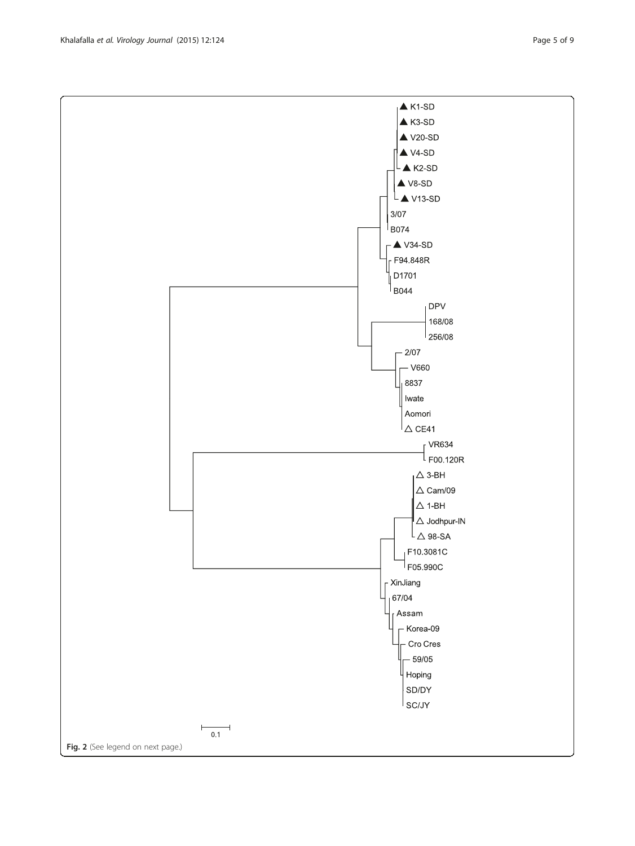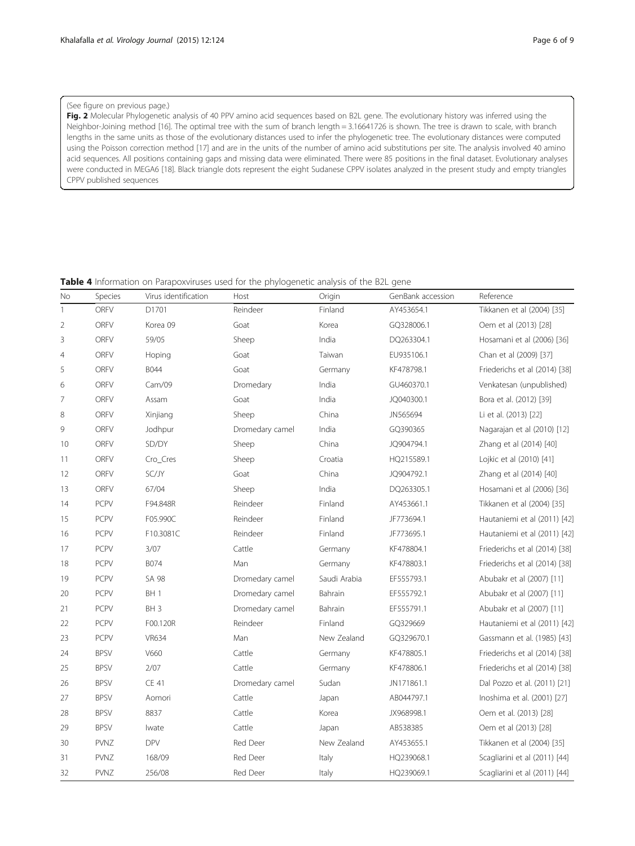### <span id="page-5-0"></span>(See figure on previous page.)

Fig. 2 Molecular Phylogenetic analysis of 40 PPV amino acid sequences based on B2L gene. The evolutionary history was inferred using the Neighbor-Joining method [\[16](#page-7-0)]. The optimal tree with the sum of branch length = 3.16641726 is shown. The tree is drawn to scale, with branch lengths in the same units as those of the evolutionary distances used to infer the phylogenetic tree. The evolutionary distances were computed using the Poisson correction method [\[17](#page-7-0)] and are in the units of the number of amino acid substitutions per site. The analysis involved 40 amino acid sequences. All positions containing gaps and missing data were eliminated. There were 85 positions in the final dataset. Evolutionary analyses were conducted in MEGA6 [[18](#page-7-0)]. Black triangle dots represent the eight Sudanese CPPV isolates analyzed in the present study and empty triangles CPPV published sequences

# Table 4 Information on Parapoxviruses used for the phylogenetic analysis of the B2L gene

| No             | Species     | Virus identification | Host            | Origin       | GenBank accession | Reference                     |
|----------------|-------------|----------------------|-----------------|--------------|-------------------|-------------------------------|
| $\mathbf{1}$   | ORFV        | D1701                | Reindeer        | Finland      | AY453654.1        | Tikkanen et al (2004) [35]    |
| $\overline{2}$ | <b>ORFV</b> | Korea 09             | Goat            | Korea        | GQ328006.1        | Oem et al (2013) [28]         |
| $\mathsf 3$    | ORFV        | 59/05                | Sheep           | India        | DQ263304.1        | Hosamani et al (2006) [36]    |
| $\overline{4}$ | ORFV        | Hoping               | Goat            | Taiwan       | EU935106.1        | Chan et al (2009) [37]        |
| 5              | ORFV        | <b>B044</b>          | Goat            | Germany      | KF478798.1        | Friederichs et al (2014) [38] |
| 6              | ORFV        | Cam/09               | Dromedary       | India        | GU460370.1        | Venkatesan (unpublished)      |
| 7              | ORFV        | Assam                | Goat            | India        | JQ040300.1        | Bora et al. (2012) [39]       |
| 8              | ORFV        | Xinjiang             | Sheep           | China        | JN565694          | Li et al. (2013) [22]         |
| 9              | ORFV        | Jodhpur              | Dromedary camel | India        | GQ390365          | Nagarajan et al (2010) [12]   |
| 10             | ORFV        | SD/DY                | Sheep           | China        | JQ904794.1        | Zhang et al (2014) [40]       |
| 11             | ORFV        | Cro_Cres             | Sheep           | Croatia      | HQ215589.1        | Lojkic et al (2010) [41]      |
| 12             | <b>ORFV</b> | SC/JY                | Goat            | China        | JQ904792.1        | Zhang et al (2014) [40]       |
| 13             | ORFV        | 67/04                | Sheep           | India        | DQ263305.1        | Hosamani et al (2006) [36]    |
| 14             | PCPV        | F94.848R             | Reindeer        | Finland      | AY453661.1        | Tikkanen et al (2004) [35]    |
| 15             | <b>PCPV</b> | F05.990C             | Reindeer        | Finland      | JF773694.1        | Hautaniemi et al (2011) [42]  |
| 16             | PCPV        | F10.3081C            | Reindeer        | Finland      | JF773695.1        | Hautaniemi et al (2011) [42]  |
| 17             | PCPV        | 3/07                 | Cattle          | Germany      | KF478804.1        | Friederichs et al (2014) [38] |
| 18             | PCPV        | B074                 | Man             | Germany      | KF478803.1        | Friederichs et al (2014) [38] |
| 19             | PCPV        | SA 98                | Dromedary camel | Saudi Arabia | EF555793.1        | Abubakr et al (2007) [11]     |
| 20             | <b>PCPV</b> | BH <sub>1</sub>      | Dromedary camel | Bahrain      | EF555792.1        | Abubakr et al (2007) [11]     |
| 21             | PCPV        | BH <sub>3</sub>      | Dromedary camel | Bahrain      | EF555791.1        | Abubakr et al (2007) [11]     |
| 22             | PCPV        | F00.120R             | Reindeer        | Finland      | GQ329669          | Hautaniemi et al (2011) [42]  |
| 23             | <b>PCPV</b> | <b>VR634</b>         | Man             | New Zealand  | GQ329670.1        | Gassmann et al. (1985) [43]   |
| 24             | <b>BPSV</b> | V660                 | Cattle          | Germany      | KF478805.1        | Friederichs et al (2014) [38] |
| 25             | <b>BPSV</b> | 2/07                 | Cattle          | Germany      | KF478806.1        | Friederichs et al (2014) [38] |
| 26             | <b>BPSV</b> | <b>CE 41</b>         | Dromedary camel | Sudan        | JN171861.1        | Dal Pozzo et al. (2011) [21]  |
| 27             | <b>BPSV</b> | Aomori               | Cattle          | Japan        | AB044797.1        | Inoshima et al. (2001) [27]   |
| 28             | <b>BPSV</b> | 8837                 | Cattle          | Korea        | JX968998.1        | Oem et al. (2013) [28]        |
| 29             | <b>BPSV</b> | lwate                | Cattle          | Japan        | AB538385          | Oem et al (2013) [28]         |
| 30             | <b>PVNZ</b> | <b>DPV</b>           | Red Deer        | New Zealand  | AY453655.1        | Tikkanen et al (2004) [35]    |
| 31             | <b>PVNZ</b> | 168/09               | Red Deer        | Italy        | HQ239068.1        | Scagliarini et al (2011) [44] |
| 32             | PVNZ        | 256/08               | Red Deer        | Italy        | HQ239069.1        | Scagliarini et al (2011) [44] |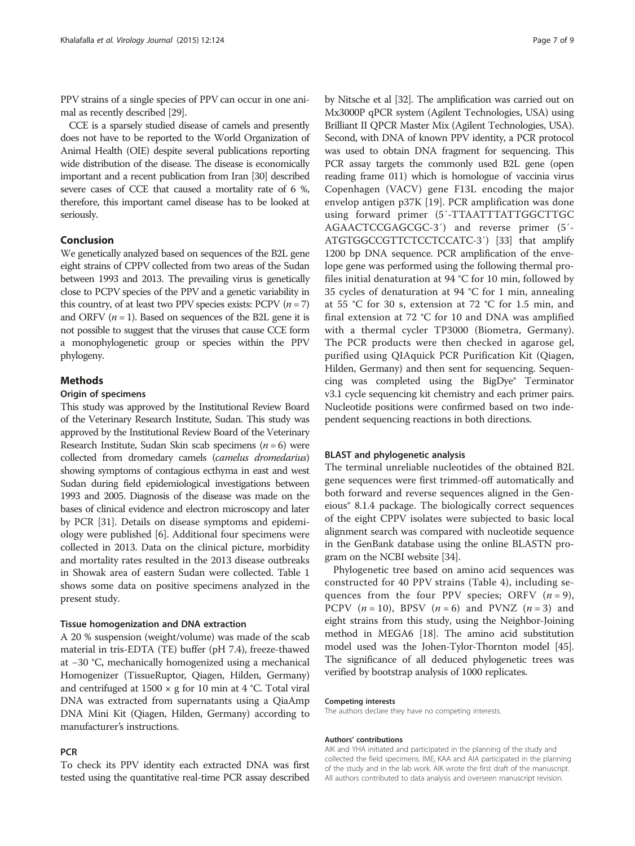PPV strains of a single species of PPV can occur in one animal as recently described [[29](#page-7-0)].

CCE is a sparsely studied disease of camels and presently does not have to be reported to the World Organization of Animal Health (OIE) despite several publications reporting wide distribution of the disease. The disease is economically important and a recent publication from Iran [\[30](#page-7-0)] described severe cases of CCE that caused a mortality rate of 6 %, therefore, this important camel disease has to be looked at seriously.

# Conclusion

We genetically analyzed based on sequences of the B2L gene eight strains of CPPV collected from two areas of the Sudan between 1993 and 2013. The prevailing virus is genetically close to PCPV species of the PPV and a genetic variability in this country, of at least two PPV species exists: PCPV  $(n = 7)$ and ORFV  $(n = 1)$ . Based on sequences of the B2L gene it is not possible to suggest that the viruses that cause CCE form a monophylogenetic group or species within the PPV phylogeny.

# Methods

# Origin of specimens

This study was approved by the Institutional Review Board of the Veterinary Research Institute, Sudan. This study was approved by the Institutional Review Board of the Veterinary Research Institute, Sudan Skin scab specimens  $(n = 6)$  were collected from dromedary camels (camelus dromedarius) showing symptoms of contagious ecthyma in east and west Sudan during field epidemiological investigations between 1993 and 2005. Diagnosis of the disease was made on the bases of clinical evidence and electron microscopy and later by PCR [[31](#page-7-0)]. Details on disease symptoms and epidemiology were published [\[6](#page-7-0)]. Additional four specimens were collected in 2013. Data on the clinical picture, morbidity and mortality rates resulted in the 2013 disease outbreaks in Showak area of eastern Sudan were collected. Table [1](#page-2-0) shows some data on positive specimens analyzed in the present study.

#### Tissue homogenization and DNA extraction

A 20 % suspension (weight/volume) was made of the scab material in tris-EDTA (TE) buffer (pH 7.4), freeze-thawed at −30 °C, mechanically homogenized using a mechanical Homogenizer (TissueRuptor, Qiagen, Hilden, Germany) and centrifuged at  $1500 \times g$  for 10 min at 4 °C. Total viral DNA was extracted from supernatants using a QiaAmp DNA Mini Kit (Qiagen, Hilden, Germany) according to manufacturer's instructions.

## **PCR**

To check its PPV identity each extracted DNA was first tested using the quantitative real-time PCR assay described

by Nitsche et al [\[32\]](#page-7-0). The amplification was carried out on Mx3000P qPCR system (Agilent Technologies, USA) using Brilliant II QPCR Master Mix (Agilent Technologies, USA). Second, with DNA of known PPV identity, a PCR protocol was used to obtain DNA fragment for sequencing. This PCR assay targets the commonly used B2L gene (open reading frame 011) which is homologue of vaccinia virus Copenhagen (VACV) gene F13L encoding the major envelop antigen p37K [[19\]](#page-7-0). PCR amplification was done using forward primer (5′-TTAATTTATTGGCTTGC AGAACTCCGAGCGC-3′) and reverse primer (5′- ATGTGGCCGTTCTCCTCCATC-3′) [\[33\]](#page-7-0) that amplify 1200 bp DNA sequence. PCR amplification of the envelope gene was performed using the following thermal profiles initial denaturation at 94 °C for 10 min, followed by 35 cycles of denaturation at 94 °C for 1 min, annealing at 55 °C for 30 s, extension at 72 °C for 1.5 min, and final extension at 72 °C for 10 and DNA was amplified with a thermal cycler TP3000 (Biometra, Germany). The PCR products were then checked in agarose gel, purified using QIAquick PCR Purification Kit (Qiagen, Hilden, Germany) and then sent for sequencing. Sequencing was completed using the BigDye® Terminator v3.1 cycle sequencing kit chemistry and each primer pairs. Nucleotide positions were confirmed based on two independent sequencing reactions in both directions.

# BLAST and phylogenetic analysis

The terminal unreliable nucleotides of the obtained B2L gene sequences were first trimmed-off automatically and both forward and reverse sequences aligned in the Geneious® 8.1.4 package. The biologically correct sequences of the eight CPPV isolates were subjected to basic local alignment search was compared with nucleotide sequence in the GenBank database using the online BLASTN program on the NCBI website [\[34\]](#page-7-0).

Phylogenetic tree based on amino acid sequences was constructed for 40 PPV strains (Table [4](#page-5-0)), including sequences from the four PPV species; ORFV  $(n = 9)$ , PCPV  $(n = 10)$ , BPSV  $(n = 6)$  and PVNZ  $(n = 3)$  and eight strains from this study, using the Neighbor-Joining method in MEGA6 [[18](#page-7-0)]. The amino acid substitution model used was the Johen-Tylor-Thornton model [[45](#page-8-0)]. The significance of all deduced phylogenetic trees was verified by bootstrap analysis of 1000 replicates.

### Competing interests

The authors declare they have no competing interests.

#### Authors' contributions

AIK and YHA initiated and participated in the planning of the study and collected the field specimens. IME, KAA and AIA participated in the planning of the study and in the lab work. AIK wrote the first draft of the manuscript. All authors contributed to data analysis and overseen manuscript revision.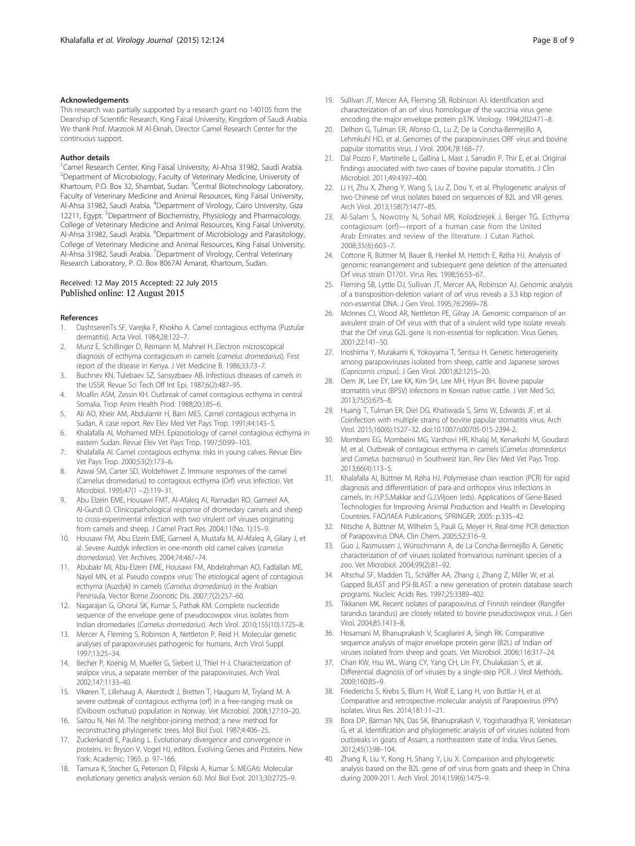#### <span id="page-7-0"></span>Acknowledgements

This research was partially supported by a research grant no 140105 from the Deanship of Scientific Research, King Faisal University, Kingdom of Saudi Arabia. We thank Prof. Marzook M Al-Eknah, Director Camel Research Center for the continuous support.

#### Author details

<sup>1</sup> Camel Research Center, King Faisal University, Al-Ahsa 31982, Saudi Arabia. <sup>2</sup>Department of Microbiology, Faculty of Veterinary Medicine, University of Khartoum, P.O. Box 32, Shambat, Sudan. <sup>3</sup>Central Biotechnology Laboratory, Faculty of Veterinary Medicine and Animal Resources, King Faisal University, Al-Ahsa 31982, Saudi Arabia. <sup>4</sup>Department of Virology, Cairo University, Giza 12211, Egypt. <sup>5</sup>Department of Biochemistry, Physiology and Pharmacology, College of Veterinary Medicine and Animal Resources, King Faisal University, Al-Ahsa 31982, Saudi Arabia. <sup>6</sup>Department of Microbiology and Parasitology, College of Veterinary Medicine and Animal Resources, King Faisal University, Al-Ahsa 31982, Saudi Arabia. <sup>7</sup>Department of Virology, Central Veterinary Research Laboratory, P. O. Box 8067Al Amarat, Khartoum, Sudan.

# Received: 12 May 2015 Accepted: 22 July 2015 Published online: 12 August 2015

#### References

- 1. DashtserenTs SF, Varejka F, Khokho A. Camel contagious ecthyma (Pustular dermatitis). Acta Virol. 1984;28:122–7.
- 2. Munz E, Schillinger D, Reimann M, Mahnel H. Electron microscopical diagnosis of ecthyma contagiosum in camels (camelus dromedarius). First report of the disease in Kenya. J Vet Medicine B. 1986;33:73–7.
- 3. Buchnev KN, Tulebaev SZ, Sansyzbaev AB. Infectious diseases of camels in the USSR. Revue Sci Tech Off Int Epi. 1987;6(2):487–95.
- 4. Moallin ASM, Zessin KH. Outbreak of camel contagious ecthyma in central Somalia. Trop Anim Health Prod. 1988;20:185–6.
- 5. Ali AO, Kheir AM, Abdulamir H, Barri MES. Camel contagious ecthyma in Sudan. A case report. Rev Elev Med Vet Pays Trop. 1991;44:143–5.
- 6. Khalafalla AI, Mohamed MEH. Epizootiology of camel contagious ecthyma in eastern Sudan. Revue Elev Vet Pays Trop. 1997;50:99–103.
- 7. Khalafalla AI. Camel contagious ecthyma: risks in young calves. Revue Elev Vet Pays Trop. 2000;53(2):173–6.
- Azwai SM, Carter SD, Woldehiwet Z. Immune responses of the camel (Camelus dromedarius) to contagious ecthyma (Orf) virus infection. Vet Microbiol. 1995;47(1 –2):119–31.
- 9. Abu Elzein EME, Housawi FMT, Al-Afaleq AI, Ramadan RO, Gameel AA, Al-Gundi O. Clinicopathological response of dromedary camels and sheep to cross-experimental infection with two virulent orf viruses originating from camels and sheep. J Camel Pract Res. 2004;11(No. 1):15–9.
- 10. Housawi FM, Abu Elzein EME, Gameel A, Mustafa M, Al-Afaleq A, Gilary J, et al. Severe Auzdyk infection in one-month old camel calves (camelus dromedarius). Vet Archives. 2004;74:467–74.
- 11. Abubakr MI, Abu-Elzein EME, Housawi FM, Abdelrahman AO, Fadlallah ME, Nayel MN, et al. Pseudo cowpox virus: The etiological agent of contagious ecthyma (Auzdyk) in camels (Camelus dromedarius) in the Arabian Peninsula. Vector Borne Zoonotic Dis. 2007;7(2):257–60.
- 12. Nagarajan G, Ghorui SK, Kumar S, Pathak KM. Complete nucleotide sequence of the envelope gene of pseudocowpox virus isolates from Indian dromedaries (Camelus dromedarius). Arch Virol. 2010;155(10):1725–8.
- 13. Mercer A, Fleming S, Robinson A, Nettleton P, Reid H. Molecular genetic analyses of parapoxviruses pathogenic for humans. Arch Virol Suppl. 1997;13:25–34.
- 14. Becher P, Koenig M, Mueller G, Siebert U, Thiel H-J. Characterization of sealpox virus, a separate member of the parapoxviruses. Arch Virol. 2002;147:1133–40.
- 15. Vikøren T, Lillehaug A, Akerstedt J, Bretten T, Haugum M, Tryland M. A severe outbreak of contagious ecthyma (orf) in a free-ranging musk ox (Ovibosm oschatus) population in Norway. Vet Microbiol. 2008;127:10–20.
- 16. Saitou N, Nei M. The neighbor-joining method: a new method for reconstructing phylogenetic trees. Mol Biol Evol. 1987;4:406–25.
- 17. Zuckerkandl E, Pauling L. Evolutionary divergence and convergence in proteins. In: Bryson V, Vogel HJ, editors. Evolving Genes and Proteins. New York: Academic; 1965. p. 97–166.
- 18. Tamura K, Stecher G, Peterson D, Filipski A, Kumar S. MEGA6: Molecular evolutionary genetics analysis version 6.0. Mol Biol Evol. 2013;30:2725–9.
- 19. Sullivan JT, Mercer AA, Fleming SB, Robinson AJ. Identification and characterization of an orf virus homologue of the vaccinia virus gene encoding the major envelope protein p37K. Virology. 1994;202:471–8.
- 20. Delhon G, Tulman ER, Afonso CL, Lu Z, De la Concha-Bermejillo A, Lehmkuhl HD, et al. Genomes of the parapoxviruses ORF virus and bovine papular stomatitis virus. J Virol. 2004;78:168–77.
- 21. Dal Pozzo F, Martinelle L, Gallina L, Mast J, Sarradin P, Thir E, et al. Original findings associated with two cases of bovine papular stomatitis. J Clin Microbiol. 2011;49:4397–400.
- 22. Li H, Zhu X, Zheng Y, Wang S, Liu Z, Dou Y, et al. Phylogenetic analysis of two Chinese orf virus isolates based on sequences of B2L and VIR genes. Arch Virol. 2013;158(7):1477–85.
- 23. Al-Salam S, Nowotny N, Sohail MR, Kolodziejek J, Berger TG. Ecthyma contagiosum (orf)—report of a human case from the United Arab Emirates and review of the literature. J Cutan Pathol. 2008;35(6):603–7.
- 24. Cottone R, Büttner M, Bauer B, Henkel M, Hettich E, Rziha HJ. Analysis of genomic rearrangement and subsequent gene deletion of the attenuated Orf virus strain D1701. Virus Res. 1998;56:53–67.
- 25. Fleming SB, Lyttle DJ, Sullivan JT, Mercer AA, Robinson AJ. Genomic analysis of a transposition-deletion variant of orf virus reveals a 3.3 kbp region of non-essential DNA. J Gen Virol. 1995;76:2969–78.
- 26. McInnes CJ, Wood AR, Nettleton PE, Gilray JA. Genomic comparison of an avirulent strain of Orf virus with that of a virulent wild type isolate reveals that the Orf virus G2L gene is non-essential for replication. Virus Genes. 2001;22:141–50.
- 27. Inoshima Y, Murakami K, Yokoyama T, Sentsui H. Genetic heterogeneity among parapoxviruses isolated from sheep, cattle and Japanese serows (Capricornis crispus). J Gen Virol. 2001;82:1215–20.
- 28. Oem JK, Lee EY, Lee KK, Kim SH, Lee MH, Hyun BH. Bovine papular stomatitis virus (BPSV) infections in Korean native cattle. J Vet Med Sci. 2013;75(5):675–8.
- 29. Huang T, Tulman ER, Diel DG, Khatiwada S, Sims W, Edwards JF, et al. Coinfection with multiple strains of bovine papular stomatitis virus. Arch Virol. 2015;160(6):1527–32. doi[:10.1007/s00705-015-2394-2.](http://dx.doi.org/10.1007/s00705-015-2394-2)
- 30. Mombeni EG, Mombeini MG, Varshovi HR, Khalaj M, Kenarkohi M, Goudarzi M, et al. Outbreak of contagious ecthyma in camels (Camelus dromedarius and Camelus bactrianus) in Southwest Iran. Rev Elev Med Vet Pays Trop. 2013;66(4):113–5.
- 31. Khalafalla AI, Büttner M, Rziha HJ. Polymerase chain reaction (PCR) for rapid diagnosis and differentiation of para-and orthopox virus infections in camels. In: H.P.S.Makkar and G.J.Viljoen (eds). Applications of Gene-Based Technologies for Improving Animal Production and Health in Developing Countries. FAO/IAEA Publications, SPRINGER; 2005: p.335–42.
- 32. Nitsche A, Büttner M, Wilhelm S, Pauli G, Meyer H. Real-time PCR detection of Parapoxvirus DNA. Clin Chem. 2005;52:316–9.
- 33. Guo J, Rasmussen J, Wünschmann A, de La Concha-Bermejillo A. Genetic characterization of orf viruses isolated fromvarious ruminant species of a zoo. Vet Microbiol. 2004;99(2):81–92.
- 34. Altschul SF, Madden TL, Schäffer AA, Zhang J, Zhang Z, Miller W, et al. Gapped BLAST and PSI-BLAST: a new generation of protein database search programs. Nucleic Acids Res. 1997;25:3389–402.
- 35. Tikkanen MK. Recent isolates of parapoxvirus of Finnish reindeer (Rangifer tarandus tarandus) are closely related to bovine pseudocowpox virus. J Gen Virol. 2004;85:1413–8.
- 36. Hosamani M, Bhanuprakash V, Scagliarini A, Singh RK. Comparative sequence analysis of major envelope protein gene (B2L) of Indian orf viruses isolated from sheep and goats. Vet Microbiol. 2006;116:317–24.
- 37. Chan KW, Hsu WL, Wang CY, Yang CH, Lin FY, Chulakasian S, et al. Differential diagnosis of orf viruses by a single-step PCR. J Virol Methods. 2009;160:85–9.
- 38. Friederichs S, Krebs S, Blum H, Wolf E, Lang H, von Buttlar H, et al. Comparative and retrospective molecular analysis of Parapoxvirus (PPV) isolates. Virus Res. 2014;181:11–21.
- 39. Bora DP, Barman NN, Das SK, Bhanuprakash V, Yogisharadhya R, Venkatesan G, et al. Identification and phylogenetic analysis of orf viruses isolated from outbreaks in goats of Assam, a northeastern state of India. Virus Genes. 2012;45(1):98–104.
- 40. Zhang K, Liu Y, Kong H, Shang Y, Liu X. Comparison and phylogenetic analysis based on the B2L gene of orf virus from goats and sheep in China during 2009-2011. Arch Virol. 2014;159(6):1475–9.